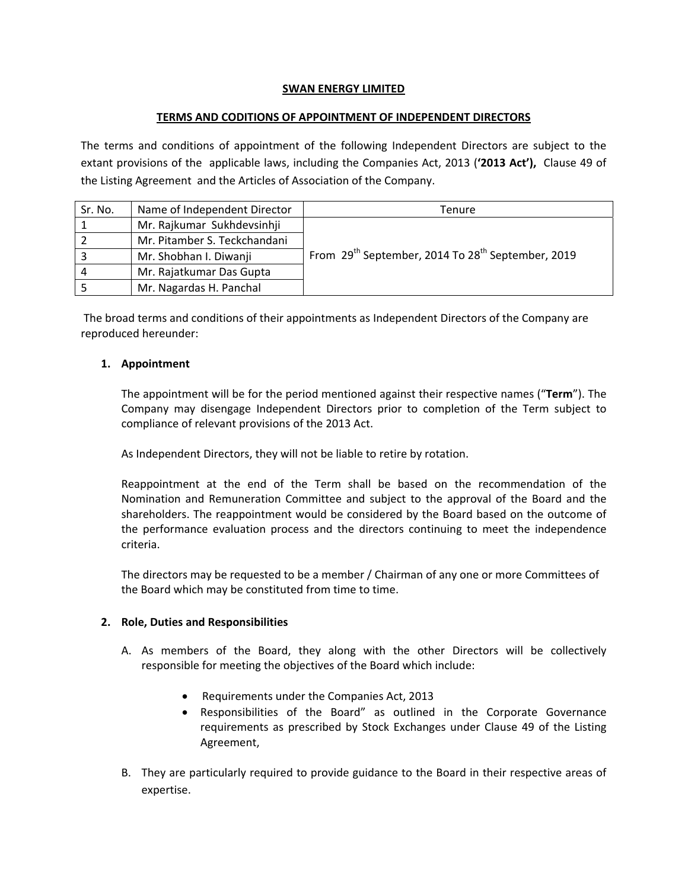## **SWAN ENERGY LIMITED**

## **TERMS AND CODITIONS OF APPOINTMENT OF INDEPENDENT DIRECTORS**

The terms and conditions of appointment of the following Independent Directors are subject to the extant provisions of the applicable laws, including the Companies Act, 2013 (**'2013 Act'),** Clause 49 of the Listing Agreement and the Articles of Association of the Company.

| Sr. No. | Name of Independent Director | Tenure                                                                    |
|---------|------------------------------|---------------------------------------------------------------------------|
|         | Mr. Rajkumar Sukhdevsinhji   |                                                                           |
|         | Mr. Pitamber S. Teckchandani |                                                                           |
|         | Mr. Shobhan I. Diwanji       | From 29 <sup>th</sup> September, 2014 To 28 <sup>th</sup> September, 2019 |
| 4       | Mr. Rajatkumar Das Gupta     |                                                                           |
|         | Mr. Nagardas H. Panchal      |                                                                           |

The broad terms and conditions of their appointments as Independent Directors of the Company are reproduced hereunder:

# **1. Appointment**

The appointment will be for the period mentioned against their respective names ("**Term**"). The Company may disengage Independent Directors prior to completion of the Term subject to compliance of relevant provisions of the 2013 Act.

As Independent Directors, they will not be liable to retire by rotation.

Reappointment at the end of the Term shall be based on the recommendation of the Nomination and Remuneration Committee and subject to the approval of the Board and the shareholders. The reappointment would be considered by the Board based on the outcome of the performance evaluation process and the directors continuing to meet the independence criteria.

The directors may be requested to be a member / Chairman of any one or more Committees of the Board which may be constituted from time to time.

### **2. Role, Duties and Responsibilities**

- A. As members of the Board, they along with the other Directors will be collectively responsible for meeting the objectives of the Board which include:
	- Requirements under the Companies Act, 2013
	- Responsibilities of the Board" as outlined in the Corporate Governance requirements as prescribed by Stock Exchanges under Clause 49 of the Listing Agreement,
- B. They are particularly required to provide guidance to the Board in their respective areas of expertise.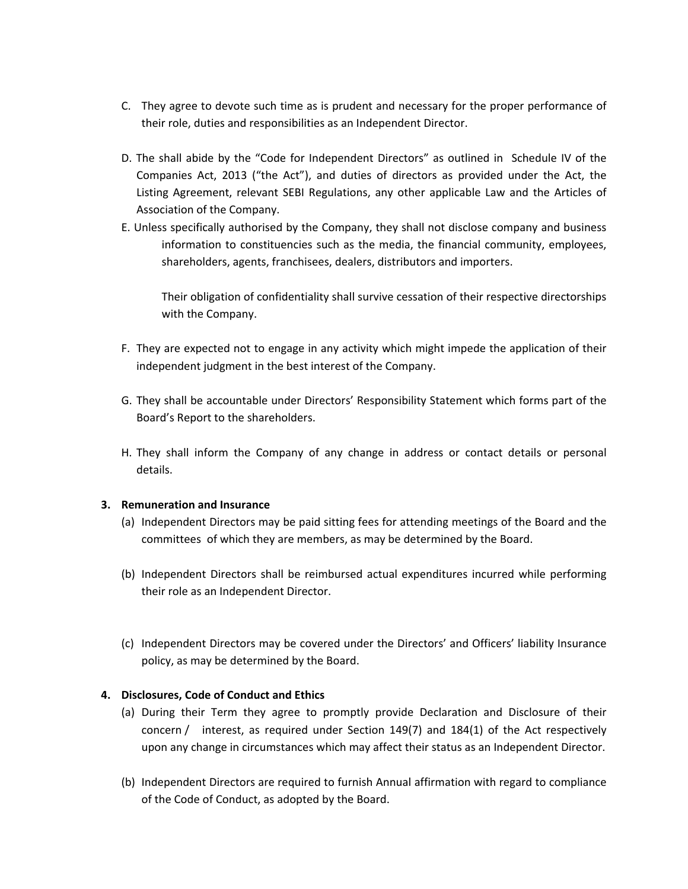- C. They agree to devote such time as is prudent and necessary for the proper performance of their role, duties and responsibilities as an Independent Director.
- D. The shall abide by the "Code for Independent Directors" as outlined in Schedule IV of the Companies Act, 2013 ("the Act"), and duties of directors as provided under the Act, the Listing Agreement, relevant SEBI Regulations, any other applicable Law and the Articles of Association of the Company.
- E. Unless specifically authorised by the Company, they shall not disclose company and business information to constituencies such as the media, the financial community, employees, shareholders, agents, franchisees, dealers, distributors and importers.

Their obligation of confidentiality shall survive cessation of their respective directorships with the Company.

- F. They are expected not to engage in any activity which might impede the application of their independent judgment in the best interest of the Company.
- G. They shall be accountable under Directors' Responsibility Statement which forms part of the Board's Report to the shareholders.
- H. They shall inform the Company of any change in address or contact details or personal details.

### **3. Remuneration and Insurance**

- (a) Independent Directors may be paid sitting fees for attending meetings of the Board and the committees of which they are members, as may be determined by the Board.
- (b) Independent Directors shall be reimbursed actual expenditures incurred while performing their role as an Independent Director.
- (c) Independent Directors may be covered under the Directors' and Officers' liability Insurance policy, as may be determined by the Board.

### **4. Disclosures, Code of Conduct and Ethics**

- (a) During their Term they agree to promptly provide Declaration and Disclosure of their concern / interest, as required under Section 149(7) and 184(1) of the Act respectively upon any change in circumstances which may affect their status as an Independent Director.
- (b) Independent Directors are required to furnish Annual affirmation with regard to compliance of the Code of Conduct, as adopted by the Board.